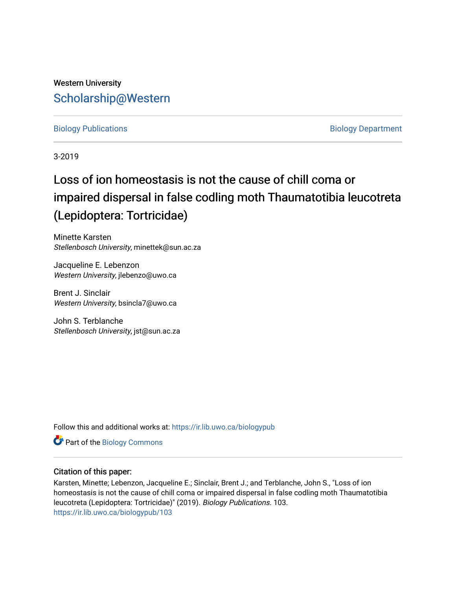## Western University [Scholarship@Western](https://ir.lib.uwo.ca/)

#### [Biology Publications](https://ir.lib.uwo.ca/biologypub) **Biology Department**

3-2019

# Loss of ion homeostasis is not the cause of chill coma or impaired dispersal in false codling moth Thaumatotibia leucotreta (Lepidoptera: Tortricidae)

Minette Karsten Stellenbosch University, minettek@sun.ac.za

Jacqueline E. Lebenzon Western University, jlebenzo@uwo.ca

Brent J. Sinclair Western University, bsincla7@uwo.ca

John S. Terblanche Stellenbosch University, jst@sun.ac.za

Follow this and additional works at: [https://ir.lib.uwo.ca/biologypub](https://ir.lib.uwo.ca/biologypub?utm_source=ir.lib.uwo.ca%2Fbiologypub%2F103&utm_medium=PDF&utm_campaign=PDFCoverPages)

Part of the [Biology Commons](http://network.bepress.com/hgg/discipline/41?utm_source=ir.lib.uwo.ca%2Fbiologypub%2F103&utm_medium=PDF&utm_campaign=PDFCoverPages) 

#### Citation of this paper:

Karsten, Minette; Lebenzon, Jacqueline E.; Sinclair, Brent J.; and Terblanche, John S., "Loss of ion homeostasis is not the cause of chill coma or impaired dispersal in false codling moth Thaumatotibia leucotreta (Lepidoptera: Tortricidae)" (2019). Biology Publications. 103. [https://ir.lib.uwo.ca/biologypub/103](https://ir.lib.uwo.ca/biologypub/103?utm_source=ir.lib.uwo.ca%2Fbiologypub%2F103&utm_medium=PDF&utm_campaign=PDFCoverPages)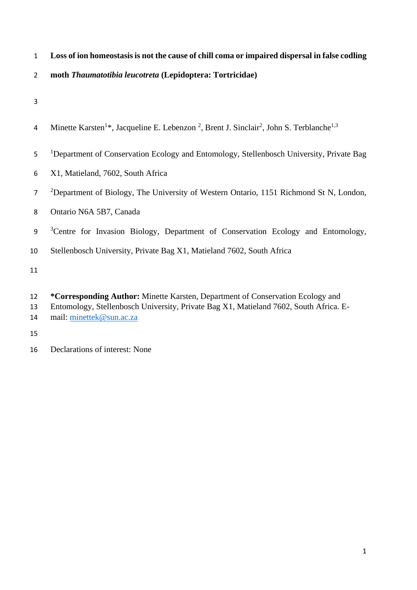- **Loss of ion homeostasis is not the cause of chill coma or impaired dispersal in false codling**
- **moth** *Thaumatotibia leucotreta* **(Lepidoptera: Tortricidae)**
- 
- 4 Minette Karsten<sup>1\*</sup>, Jacqueline E. Lebenzon<sup>2</sup>, Brent J. Sinclair<sup>2</sup>, John S. Terblanche<sup>1,3</sup>
- <sup>1</sup>Department of Conservation Ecology and Entomology, Stellenbosch University, Private Bag
- X1, Matieland, 7602, South Africa
- <sup>2</sup>Department of Biology, The University of Western Ontario, 1151 Richmond St N, London,
- Ontario N6A 5B7, Canada
- <sup>3</sup> Centre for Invasion Biology, Department of Conservation Ecology and Entomology,
- Stellenbosch University, Private Bag X1, Matieland 7602, South Africa

- **\*Corresponding Author:** Minette Karsten, Department of Conservation Ecology and
- Entomology, Stellenbosch University, Private Bag X1, Matieland 7602, South Africa. E-mail: [minettek@sun.ac.za](mailto:minettek@sun.ac.za)

Declarations of interest: None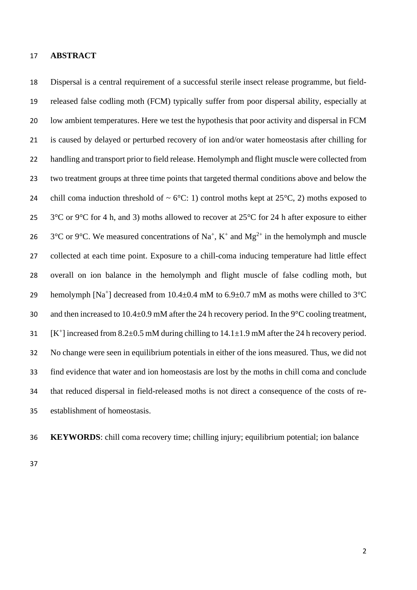#### **ABSTRACT**

 Dispersal is a central requirement of a successful sterile insect release programme, but field- released false codling moth (FCM) typically suffer from poor dispersal ability, especially at low ambient temperatures. Here we test the hypothesis that poor activity and dispersal in FCM is caused by delayed or perturbed recovery of ion and/or water homeostasis after chilling for handling and transport prior to field release. Hemolymph and flight muscle were collected from two treatment groups at three time points that targeted thermal conditions above and below the 24 chill coma induction threshold of  $\sim 6^{\circ}$ C: 1) control moths kept at 25 $^{\circ}$ C, 2) moths exposed to 25 3<sup>o</sup>C or 9<sup>o</sup>C for 4 h, and 3) moths allowed to recover at 25<sup>o</sup>C for 24 h after exposure to either 26 3<sup>o</sup>C or 9<sup>o</sup>C. We measured concentrations of Na<sup>+</sup>, K<sup>+</sup> and Mg<sup>2+</sup> in the hemolymph and muscle collected at each time point. Exposure to a chill-coma inducing temperature had little effect overall on ion balance in the hemolymph and flight muscle of false codling moth, but 29 hemolymph [Na<sup>+</sup>] decreased from  $10.4 \pm 0.4$  mM to  $6.9 \pm 0.7$  mM as moths were chilled to  $3^{\circ}$ C and then increased to 10.4±0.9 mM after the 24 h recovery period. In the 9°C cooling treatment, 31  $[K^+]$  increased from 8.2±0.5 mM during chilling to 14.1±1.9 mM after the 24 h recovery period. No change were seen in equilibrium potentials in either of the ions measured. Thus, we did not find evidence that water and ion homeostasis are lost by the moths in chill coma and conclude that reduced dispersal in field-released moths is not direct a consequence of the costs of re-establishment of homeostasis.

**KEYWORDS**: chill coma recovery time; chilling injury; equilibrium potential; ion balance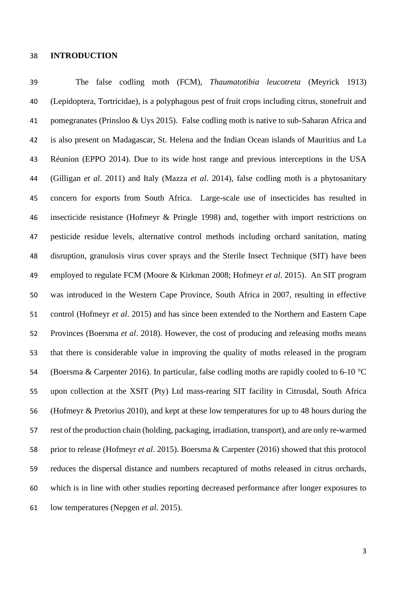#### **INTRODUCTION**

 The false codling moth (FCM), *Thaumatotibia leucotreta* (Meyrick 1913) (Lepidoptera, Tortricidae), is a polyphagous pest of fruit crops including citrus, stonefruit and pomegranates (Prinsloo & Uys 2015). False codling moth is native to sub-Saharan Africa and is also present on Madagascar, St. Helena and the Indian Ocean islands of Mauritius and La Réunion (EPPO 2014). Due to its wide host range and previous interceptions in the USA (Gilligan *et al*. 2011) and Italy (Mazza *et al*. 2014), false codling moth is a phytosanitary concern for exports from South Africa. Large-scale use of insecticides has resulted in insecticide resistance (Hofmeyr & Pringle 1998) and, together with import restrictions on pesticide residue levels, alternative control methods including orchard sanitation, mating disruption, granulosis virus cover sprays and the Sterile Insect Technique (SIT) have been employed to regulate FCM (Moore & Kirkman 2008; Hofmeyr *et al*. 2015). An SIT program was introduced in the Western Cape Province, South Africa in 2007, resulting in effective control (Hofmeyr *et al*. 2015) and has since been extended to the Northern and Eastern Cape Provinces (Boersma *et al*. 2018). However, the cost of producing and releasing moths means that there is considerable value in improving the quality of moths released in the program 54 (Boersma & Carpenter 2016). In particular, false codling moths are rapidly cooled to 6-10 °C upon collection at the XSIT (Pty) Ltd mass-rearing SIT facility in Citrusdal, South Africa (Hofmeyr & Pretorius 2010), and kept at these low temperatures for up to 48 hours during the rest of the production chain (holding, packaging, irradiation, transport), and are only re-warmed prior to release (Hofmeyr *et al*. 2015). Boersma & Carpenter (2016) showed that this protocol reduces the dispersal distance and numbers recaptured of moths released in citrus orchards, which is in line with other studies reporting decreased performance after longer exposures to low temperatures (Nepgen *et al*. 2015).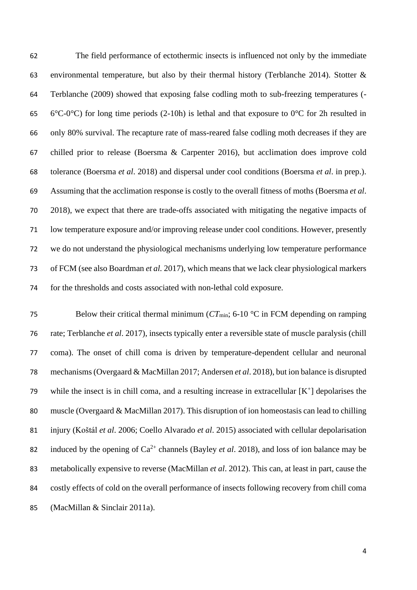The field performance of ectothermic insects is influenced not only by the immediate environmental temperature, but also by their thermal history (Terblanche 2014). Stotter & Terblanche (2009) showed that exposing false codling moth to sub-freezing temperatures (- 65 6°C-0°C) for long time periods (2-10h) is lethal and that exposure to 0°C for 2h resulted in only 80% survival. The recapture rate of mass-reared false codling moth decreases if they are chilled prior to release (Boersma & Carpenter 2016), but acclimation does improve cold tolerance (Boersma *et al*. 2018) and dispersal under cool conditions (Boersma *et al*. in prep.). Assuming that the acclimation response is costly to the overall fitness of moths (Boersma *et al*. 2018), we expect that there are trade-offs associated with mitigating the negative impacts of low temperature exposure and/or improving release under cool conditions. However, presently we do not understand the physiological mechanisms underlying low temperature performance of FCM (see also Boardman *et al.* 2017), which means that we lack clear physiological markers for the thresholds and costs associated with non-lethal cold exposure.

75 Below their critical thermal minimum ( $CT_{min}$ ; 6-10 °C in FCM depending on ramping rate; Terblanche *et al*. 2017), insects typically enter a reversible state of muscle paralysis (chill coma). The onset of chill coma is driven by temperature-dependent cellular and neuronal mechanisms (Overgaard & MacMillan 2017; Andersen *et al*. 2018), but ion balance is disrupted 79 while the insect is in chill coma, and a resulting increase in extracellular  $[K^+]$  depolarises the muscle (Overgaard & MacMillan 2017). This disruption of ion homeostasis can lead to chilling injury (Koštál *et al*. 2006; Coello Alvarado *et al*. 2015) associated with cellular depolarisation 82 induced by the opening of  $Ca^{2+}$  channels (Bayley *et al.* 2018), and loss of ion balance may be metabolically expensive to reverse (MacMillan *et al*. 2012). This can, at least in part, cause the costly effects of cold on the overall performance of insects following recovery from chill coma (MacMillan & Sinclair 2011a).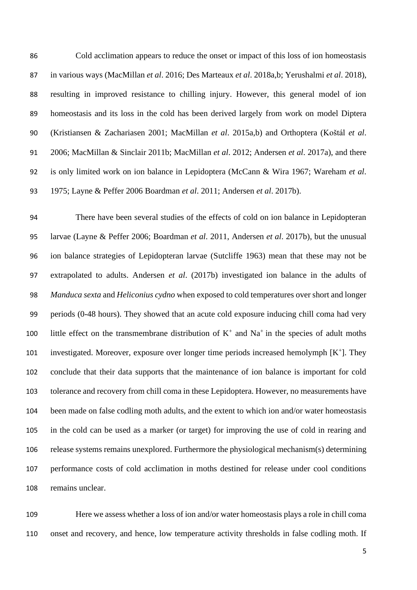Cold acclimation appears to reduce the onset or impact of this loss of ion homeostasis in various ways (MacMillan *et al*. 2016; Des Marteaux *et al*. 2018a,b; Yerushalmi *et al*. 2018), resulting in improved resistance to chilling injury. However, this general model of ion homeostasis and its loss in the cold has been derived largely from work on model Diptera (Kristiansen & Zachariasen 2001; MacMillan *et al*. 2015a,b) and Orthoptera (Koštál *et al*. 2006; MacMillan & Sinclair 2011b; MacMillan *et al*. 2012; Andersen *et al*. 2017a), and there is only limited work on ion balance in Lepidoptera (McCann & Wira 1967; Wareham *et al*. 1975; Layne & Peffer 2006 Boardman *et al*. 2011; Andersen *et al*. 2017b).

 There have been several studies of the effects of cold on ion balance in Lepidopteran larvae (Layne & Peffer 2006; Boardman *et al*. 2011, Andersen *et al*. 2017b), but the unusual ion balance strategies of Lepidopteran larvae (Sutcliffe 1963) mean that these may not be extrapolated to adults. Andersen *et al*. (2017b) investigated ion balance in the adults of *Manduca sexta* and *Heliconius cydno* when exposed to cold temperatures over short and longer periods (0-48 hours). They showed that an acute cold exposure inducing chill coma had very 100 little effect on the transmembrane distribution of  $K^+$  and  $Na^+$  in the species of adult moths 101 investigated. Moreover, exposure over longer time periods increased hemolymph  $[K^+]$ . They conclude that their data supports that the maintenance of ion balance is important for cold tolerance and recovery from chill coma in these Lepidoptera. However, no measurements have been made on false codling moth adults, and the extent to which ion and/or water homeostasis in the cold can be used as a marker (or target) for improving the use of cold in rearing and release systems remains unexplored. Furthermore the physiological mechanism(s) determining performance costs of cold acclimation in moths destined for release under cool conditions remains unclear.

 Here we assess whether a loss of ion and/or water homeostasis plays a role in chill coma onset and recovery, and hence, low temperature activity thresholds in false codling moth. If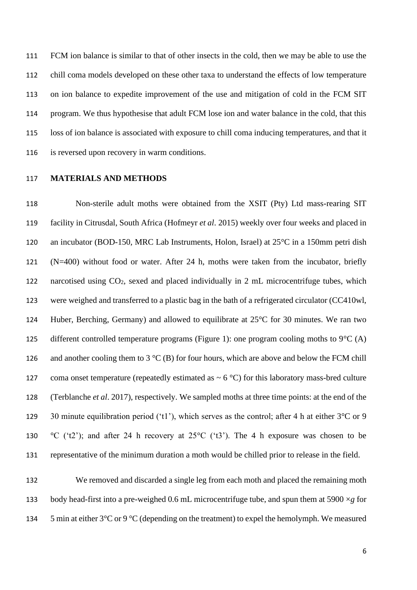FCM ion balance is similar to that of other insects in the cold, then we may be able to use the chill coma models developed on these other taxa to understand the effects of low temperature on ion balance to expedite improvement of the use and mitigation of cold in the FCM SIT program. We thus hypothesise that adult FCM lose ion and water balance in the cold, that this loss of ion balance is associated with exposure to chill coma inducing temperatures, and that it is reversed upon recovery in warm conditions.

#### **MATERIALS AND METHODS**

 Non-sterile adult moths were obtained from the XSIT (Pty) Ltd mass-rearing SIT facility in Citrusdal, South Africa (Hofmeyr *et al*. 2015) weekly over four weeks and placed in an incubator (BOD-150, MRC Lab Instruments, Holon, Israel) at 25°C in a 150mm petri dish (N=400) without food or water. After 24 h, moths were taken from the incubator, briefly narcotised using CO2, sexed and placed individually in 2 mL microcentrifuge tubes, which were weighed and transferred to a plastic bag in the bath of a refrigerated circulator (CC410wl, Huber, Berching, Germany) and allowed to equilibrate at 25°C for 30 minutes. We ran two 125 different controlled temperature programs (Figure 1): one program cooling moths to  $9^{\circ}C(A)$ 126 and another cooling them to 3  $\rm{C}$  (B) for four hours, which are above and below the FCM chill 127 coma onset temperature (repeatedly estimated as  $\sim$  6 °C) for this laboratory mass-bred culture (Terblanche *et al*. 2017), respectively. We sampled moths at three time points: at the end of the 129 30 minute equilibration period ('t1'), which serves as the control; after 4 h at either  $3^{\circ}$ C or 9 130 °C ('t2'); and after 24 h recovery at  $25^{\circ}$ C ('t3'). The 4 h exposure was chosen to be representative of the minimum duration a moth would be chilled prior to release in the field.

 We removed and discarded a single leg from each moth and placed the remaining moth 133 body head-first into a pre-weighed 0.6 mL microcentrifuge tube, and spun them at 5900  $\times$ *g* for 134 5 min at either  $3^{\circ}$ C or 9  $^{\circ}$ C (depending on the treatment) to expel the hemolymph. We measured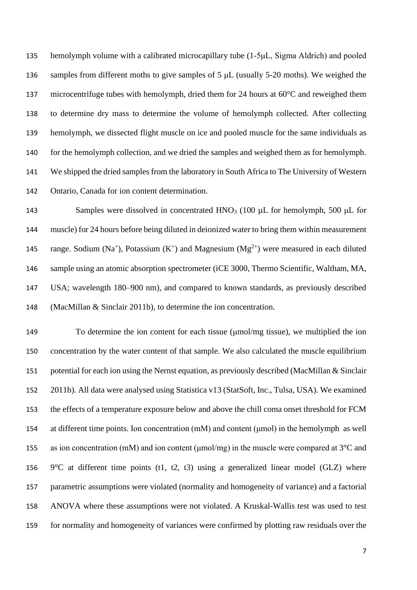hemolymph volume with a calibrated microcapillary tube (1-5μL, Sigma Aldrich) and pooled samples from different moths to give samples of 5 μL (usually 5-20 moths). We weighed the microcentrifuge tubes with hemolymph, dried them for 24 hours at 60°C and reweighed them to determine dry mass to determine the volume of hemolymph collected. After collecting hemolymph, we dissected flight muscle on ice and pooled muscle for the same individuals as 140 for the hemolymph collection, and we dried the samples and weighed them as for hemolymph. We shipped the dried samples from the laboratory in South Africa to The University of Western Ontario, Canada for ion content determination.

143 Samples were dissolved in concentrated HNO<sub>3</sub> (100  $\mu$ L for hemolymph, 500  $\mu$ L for muscle) for 24 hours before being diluted in deionized water to bring them within measurement 145 range. Sodium (Na<sup>+</sup>), Potassium (K<sup>+</sup>) and Magnesium (Mg<sup>2+</sup>) were measured in each diluted sample using an atomic absorption spectrometer (iCE 3000, Thermo Scientific, Waltham, MA, USA; wavelength 180–900 nm), and compared to known standards, as previously described (MacMillan & Sinclair 2011b), to determine the ion concentration.

 To determine the ion content for each tissue (μmol/mg tissue), we multiplied the ion concentration by the water content of that sample. We also calculated the muscle equilibrium potential for each ion using the Nernst equation, as previously described (MacMillan & Sinclair 2011b). All data were analysed using Statistica v13 (StatSoft, Inc., Tulsa, USA). We examined the effects of a temperature exposure below and above the chill coma onset threshold for FCM at different time points. Ion concentration (mM) and content (μmol) in the hemolymph as well 155 as ion concentration (mM) and ion content ( $\mu$ mol/mg) in the muscle were compared at 3<sup>o</sup>C and 156 9 $\degree$ C at different time points (t1, t2, t3) using a generalized linear model (GLZ) where parametric assumptions were violated (normality and homogeneity of variance) and a factorial ANOVA where these assumptions were not violated. A Kruskal-Wallis test was used to test for normality and homogeneity of variances were confirmed by plotting raw residuals over the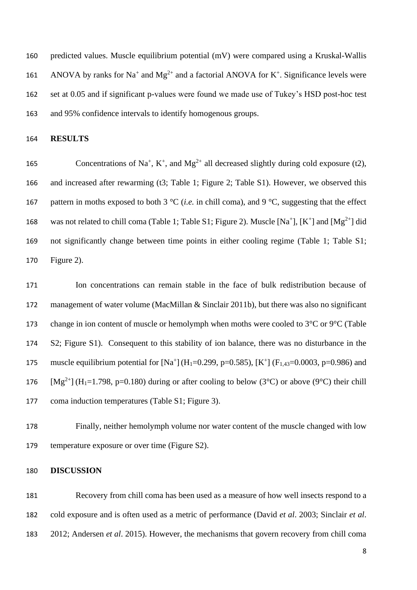predicted values. Muscle equilibrium potential (mV) were compared using a Kruskal-Wallis 161 ANOVA by ranks for Na<sup>+</sup> and Mg<sup>2+</sup> and a factorial ANOVA for K<sup>+</sup>. Significance levels were set at 0.05 and if significant p-values were found we made use of Tukey's HSD post-hoc test and 95% confidence intervals to identify homogenous groups.

**RESULTS**

165 Concentrations of Na<sup>+</sup>, K<sup>+</sup>, and Mg<sup>2+</sup> all decreased slightly during cold exposure (t2), and increased after rewarming (t3; Table 1; Figure 2; Table S1). However, we observed this pattern in moths exposed to both 3 °C (*i.e.* in chill coma), and 9 °C, suggesting that the effect 168 was not related to chill coma (Table 1; Table S1; Figure 2). Muscle [Na<sup>+</sup>], [K<sup>+</sup>] and [Mg<sup>2+</sup>] did not significantly change between time points in either cooling regime (Table 1; Table S1; Figure 2).

 Ion concentrations can remain stable in the face of bulk redistribution because of management of water volume (MacMillan & Sinclair 2011b), but there was also no significant 173 change in ion content of muscle or hemolymph when moths were cooled to  $3^{\circ}$ C or  $9^{\circ}$ C (Table S2; Figure S1). Consequent to this stability of ion balance, there was no disturbance in the 175 muscle equilibrium potential for  $[Na^+] (H_1=0.299, p=0.585), [K^+] (F_{1,43}=0.0003, p=0.986)$  and 176 [Mg<sup>2+</sup>] (H<sub>1</sub>=1.798, p=0.180) during or after cooling to below (3<sup>o</sup>C) or above (9<sup>o</sup>C) their chill coma induction temperatures (Table S1; Figure 3).

 Finally, neither hemolymph volume nor water content of the muscle changed with low temperature exposure or over time (Figure S2).

#### **DISCUSSION**

 Recovery from chill coma has been used as a measure of how well insects respond to a cold exposure and is often used as a metric of performance (David *et al*. 2003; Sinclair *et al*. 2012; Andersen *et al*. 2015). However, the mechanisms that govern recovery from chill coma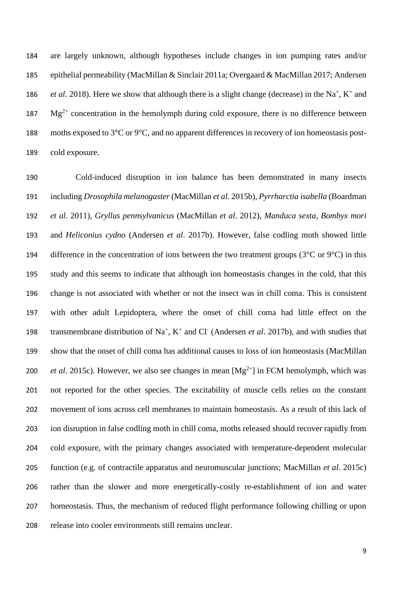are largely unknown, although hypotheses include changes in ion pumping rates and/or epithelial permeability (MacMillan & Sinclair 2011a; Overgaard & MacMillan 2017; Andersen *et al.* 2018). Here we show that although there is a slight change (decrease) in the Na<sup>+</sup>, K<sup>+</sup> and  $Mg^{2+}$  concentration in the hemolymph during cold exposure, there is no difference between 188 moths exposed to  $3^{\circ}$ C or  $9^{\circ}$ C, and no apparent differences in recovery of ion homeostasis post-cold exposure.

 Cold-induced disruption in ion balance has been demonstrated in many insects including *Drosophila melanogaster* (MacMillan *et al*. 2015b), *Pyrrharctia isabella* (Boardman *et al*. 2011), *Gryllus pennsylvanicus* (MacMillan *et al*. 2012), *Manduca sexta*, *Bombyx mori* and *Heliconius cydno* (Andersen *et al*. 2017b). However, false codling moth showed little 194 difference in the concentration of ions between the two treatment groups ( $3^{\circ}$ C or  $9^{\circ}$ C) in this study and this seems to indicate that although ion homeostasis changes in the cold, that this change is not associated with whether or not the insect was in chill coma. This is consistent with other adult Lepidoptera, where the onset of chill coma had little effect on the 198 transmembrane distribution of Na<sup>+</sup>, K<sup>+</sup> and Cl<sup>-</sup> (Andersen *et al.* 2017b), and with studies that show that the onset of chill coma has additional causes to loss of ion homeostasis (MacMillan *et al.* 2015c). However, we also see changes in mean  $[Mg^{2+}]$  in FCM hemolymph, which was not reported for the other species. The excitability of muscle cells relies on the constant movement of ions across cell membranes to maintain homeostasis. As a result of this lack of ion disruption in false codling moth in chill coma, moths released should recover rapidly from cold exposure, with the primary changes associated with temperature-dependent molecular function (e.g. of contractile apparatus and neuromuscular junctions; MacMillan *et al*. 2015c) rather than the slower and more energetically-costly re-establishment of ion and water homeostasis. Thus, the mechanism of reduced flight performance following chilling or upon release into cooler environments still remains unclear.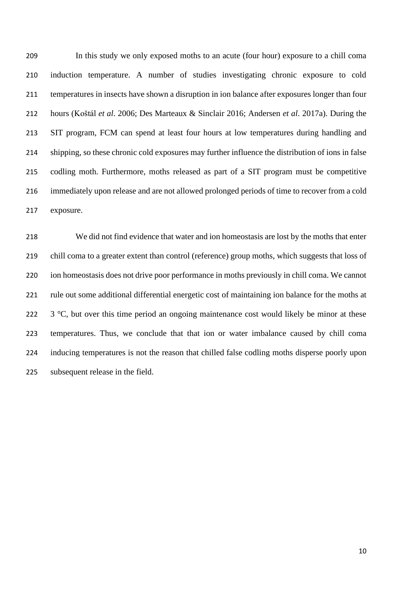In this study we only exposed moths to an acute (four hour) exposure to a chill coma induction temperature. A number of studies investigating chronic exposure to cold temperatures in insects have shown a disruption in ion balance after exposures longer than four hours (Koštál *et al*. 2006; Des Marteaux & Sinclair 2016; Andersen *et al*. 2017a). During the SIT program, FCM can spend at least four hours at low temperatures during handling and shipping, so these chronic cold exposures may further influence the distribution of ions in false codling moth. Furthermore, moths released as part of a SIT program must be competitive immediately upon release and are not allowed prolonged periods of time to recover from a cold exposure.

 We did not find evidence that water and ion homeostasis are lost by the moths that enter chill coma to a greater extent than control (reference) group moths, which suggests that loss of ion homeostasis does not drive poor performance in moths previously in chill coma. We cannot rule out some additional differential energetic cost of maintaining ion balance for the moths at  $\,$  3 °C, but over this time period an ongoing maintenance cost would likely be minor at these temperatures. Thus, we conclude that that ion or water imbalance caused by chill coma inducing temperatures is not the reason that chilled false codling moths disperse poorly upon 225 subsequent release in the field.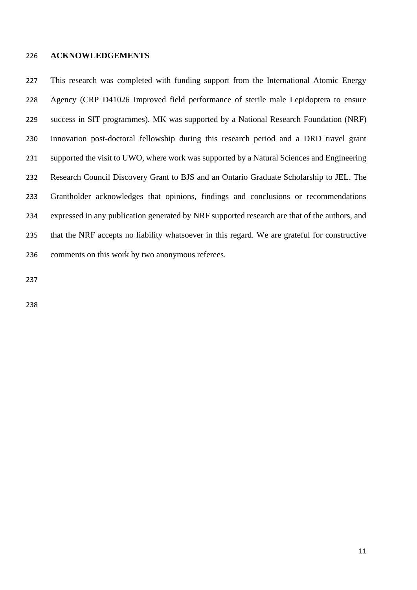#### **ACKNOWLEDGEMENTS**

 This research was completed with funding support from the International Atomic Energy Agency (CRP D41026 Improved field performance of sterile male Lepidoptera to ensure success in SIT programmes). MK was supported by a National Research Foundation (NRF) Innovation post-doctoral fellowship during this research period and a DRD travel grant supported the visit to UWO, where work was supported by a Natural Sciences and Engineering Research Council Discovery Grant to BJS and an Ontario Graduate Scholarship to JEL. The Grantholder acknowledges that opinions, findings and conclusions or recommendations expressed in any publication generated by NRF supported research are that of the authors, and that the NRF accepts no liability whatsoever in this regard. We are grateful for constructive comments on this work by two anonymous referees.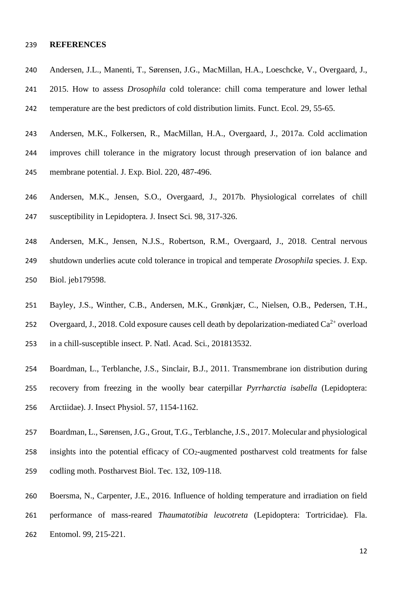#### **REFERENCES**

- Andersen, J.L., Manenti, T., Sørensen, J.G., MacMillan, H.A., Loeschcke, V., Overgaard, J.,
- 2015. How to assess *Drosophila* cold tolerance: chill coma temperature and lower lethal temperature are the best predictors of cold distribution limits. Funct. Ecol. 29, 55-65.
- Andersen, M.K., Folkersen, R., MacMillan, H.A., Overgaard, J., 2017a. Cold acclimation improves chill tolerance in the migratory locust through preservation of ion balance and membrane potential. J. Exp. Biol. 220, 487-496.
- Andersen, M.K., Jensen, S.O., Overgaard, J., 2017b. Physiological correlates of chill susceptibility in Lepidoptera. J. Insect Sci*.* 98, 317-326.
- Andersen, M.K., Jensen, N.J.S., Robertson, R.M., Overgaard, J., 2018. Central nervous shutdown underlies acute cold tolerance in tropical and temperate *Drosophila* species. J. Exp. Biol. jeb179598.
- Bayley, J.S., Winther, C.B., Andersen, M.K., Grønkjær, C., Nielsen, O.B., Pedersen, T.H.,
- 252 Overgaard, J., 2018. Cold exposure causes cell death by depolarization-mediated  $Ca^{2+}$  overload in a chill-susceptible insect. P. Natl. Acad. Sci*.*, 201813532.
- Boardman, L., Terblanche, J.S., Sinclair, B.J., 2011. Transmembrane ion distribution during recovery from freezing in the woolly bear caterpillar *Pyrrharctia isabella* (Lepidoptera: Arctiidae). J. Insect Physiol. 57, 1154-1162.
- Boardman, L., Sørensen, J.G., Grout, T.G., Terblanche, J.S., 2017. Molecular and physiological
- 258 insights into the potential efficacy of  $CO<sub>2</sub>$ -augmented postharvest cold treatments for false
- codling moth. Postharvest Biol. Tec. 132, 109-118.
- Boersma, N., Carpenter, J.E., 2016. Influence of holding temperature and irradiation on field performance of mass-reared *Thaumatotibia leucotreta* (Lepidoptera: Tortricidae). Fla. Entomol. 99, 215-221.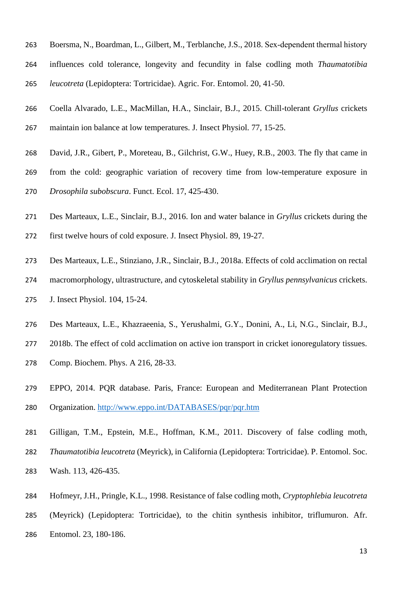- Boersma, N., Boardman, L., Gilbert, M., Terblanche, J.S., 2018. Sex‐dependent thermal history influences cold tolerance, longevity and fecundity in false codling moth *Thaumatotibia leucotreta* (Lepidoptera: Tortricidae). Agric. For. Entomol. 20, 41-50.
- Coella Alvarado, L.E., MacMillan, H.A., Sinclair, B.J., 2015. Chill-tolerant *Gryllus* crickets maintain ion balance at low temperatures. J. Insect Physiol. 77, 15-25.
- David, J.R., Gibert, P., Moreteau, B., Gilchrist, G.W., Huey, R.B., 2003. The fly that came in
- from the cold: geographic variation of recovery time from low-temperature exposure in *Drosophila subobscura*. Funct. Ecol. 17, 425-430.
- Des Marteaux, L.E., Sinclair, B.J., 2016. Ion and water balance in *Gryllus* crickets during the
- first twelve hours of cold exposure. J. Insect Physiol. 89, 19-27.
- Des Marteaux, L.E., Stinziano, J.R., Sinclair, B.J., 2018a. Effects of cold acclimation on rectal macromorphology, ultrastructure, and cytoskeletal stability in *Gryllus pennsylvanicus* crickets. J. Insect Physiol. 104, 15-24.
- Des Marteaux, L.E., Khazraeenia, S., Yerushalmi, G.Y., Donini, A., Li, N.G., Sinclair, B.J.,
- 277 2018b. The effect of cold acclimation on active ion transport in cricket ionoregulatory tissues.
- Comp. Biochem. Phys. A 216, 28-33.
- EPPO, 2014. PQR database. Paris, France: European and Mediterranean Plant Protection Organization. <http://www.eppo.int/DATABASES/pqr/pqr.htm>
- Gilligan, T.M., Epstein, M.E., Hoffman, K.M., 2011. Discovery of false codling moth,
- *Thaumatotibia leucotreta* (Meyrick), in California (Lepidoptera: Tortricidae). P. Entomol. Soc.
- Wash. 113, 426-435.
- Hofmeyr, J.H., Pringle, K.L., 1998. Resistance of false codling moth, *Cryptophlebia leucotreta*
- (Meyrick) (Lepidoptera: Tortricidae), to the chitin synthesis inhibitor, triflumuron. Afr.
- Entomol. 23, 180-186.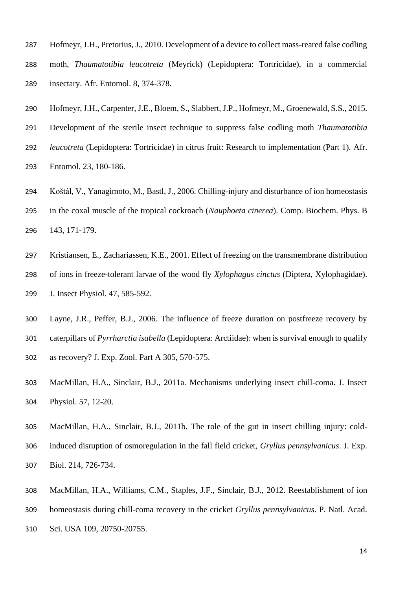- Hofmeyr, J.H., Pretorius, J., 2010. Development of a device to collect mass-reared false codling moth, *Thaumatotibia leucotreta* (Meyrick) (Lepidoptera: Tortricidae), in a commercial insectary. Afr. Entomol. 8, 374-378.
- Hofmeyr, J.H., Carpenter, J.E., Bloem, S., Slabbert, J.P., Hofmeyr, M., Groenewald, S.S., 2015. Development of the sterile insect technique to suppress false codling moth *Thaumatotibia leucotreta* (Lepidoptera: Tortricidae) in citrus fruit: Research to implementation (Part 1). Afr. Entomol. 23, 180-186.
- Koštál, V., Yanagimoto, M., Bastl, J., 2006. Chilling-injury and disturbance of ion homeostasis in the coxal muscle of the tropical cockroach (*Nauphoeta cinerea*). Comp. Biochem. Phys. B 143, 171-179.
- Kristiansen, E., Zachariassen, K.E., 2001. Effect of freezing on the transmembrane distribution of ions in freeze-tolerant larvae of the wood fly *Xylophagus cinctus* (Diptera, Xylophagidae). J. Insect Physiol. 47, 585-592.
- Layne, J.R., Peffer, B.J., 2006. The influence of freeze duration on postfreeze recovery by caterpillars of *Pyrrharctia isabella* (Lepidoptera: Arctiidae): when is survival enough to qualify as recovery? J. Exp. Zool. Part A 305, 570-575.
- MacMillan, H.A., Sinclair, B.J., 2011a. Mechanisms underlying insect chill-coma. J. Insect Physiol. 57, 12-20.
- MacMillan, H.A., Sinclair, B.J., 2011b. The role of the gut in insect chilling injury: cold- induced disruption of osmoregulation in the fall field cricket, *Gryllus pennsylvanicus*. J. Exp. Biol. 214, 726-734.
- MacMillan, H.A., Williams, C.M., Staples, J.F., Sinclair, B.J., 2012. Reestablishment of ion homeostasis during chill-coma recovery in the cricket *Gryllus pennsylvanicus*. P. Natl. Acad. Sci. USA 109, 20750-20755.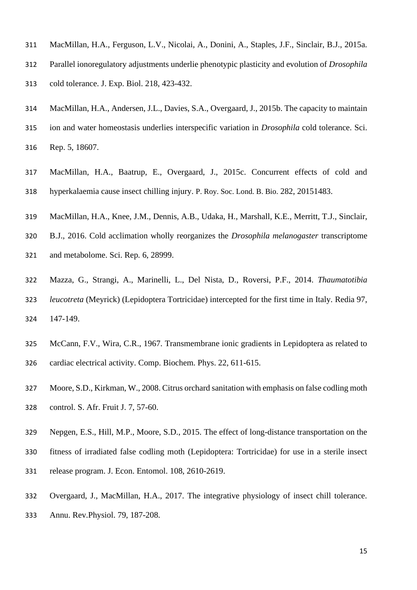- MacMillan, H.A., Ferguson, L.V., Nicolai, A., Donini, A., Staples, J.F., Sinclair, B.J., 2015a.
- Parallel ionoregulatory adjustments underlie phenotypic plasticity and evolution of *Drosophila* cold tolerance. J. Exp. Biol. 218, 423-432.
- MacMillan, H.A., Andersen, J.L., Davies, S.A., Overgaard, J., 2015b. The capacity to maintain
- ion and water homeostasis underlies interspecific variation in *Drosophila* cold tolerance. Sci. Rep. 5, 18607.
- MacMillan, H.A., Baatrup, E., Overgaard, J., 2015c. Concurrent effects of cold and hyperkalaemia cause insect chilling injury. P. Roy. Soc. Lond. B. Bio. 282, 20151483.
- MacMillan, H.A., Knee, J.M., Dennis, A.B., Udaka, H., Marshall, K.E., Merritt, T.J., Sinclair,
- B.J., 2016. Cold acclimation wholly reorganizes the *Drosophila melanogaster* transcriptome
- and metabolome. Sci. Rep*.* 6, 28999.
- Mazza, G., Strangi, A., Marinelli, L., Del Nista, D., Roversi, P.F., 2014. *Thaumatotibia leucotreta* (Meyrick) (Lepidoptera Tortricidae) intercepted for the first time in Italy. Redia 97, 147-149.
- McCann, F.V., Wira, C.R., 1967. Transmembrane ionic gradients in Lepidoptera as related to cardiac electrical activity. Comp. Biochem. Phys. 22, 611-615.
- Moore, S.D., Kirkman, W., 2008. Citrus orchard sanitation with emphasis on false codling moth control. S. Afr. Fruit J. 7, 57-60.
- Nepgen, E.S., Hill, M.P., Moore, S.D., 2015. The effect of long-distance transportation on the
- fitness of irradiated false codling moth (Lepidoptera: Tortricidae) for use in a sterile insect
- release program. J. Econ. Entomol. 108, 2610-2619.
- Overgaard, J., MacMillan, H.A., 2017. The integrative physiology of insect chill tolerance.
- Annu. Rev.Physiol. 79, 187-208.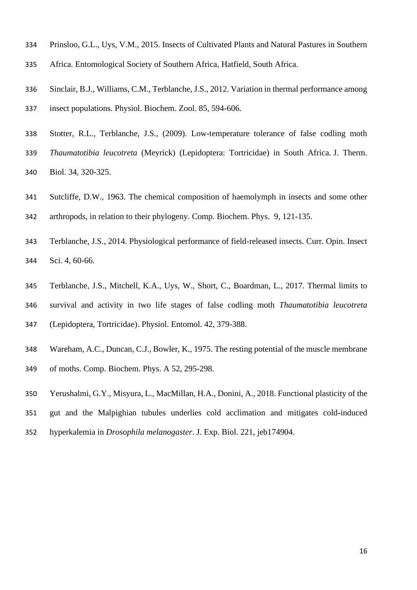- Prinsloo, G.L., Uys, V.M., 2015. Insects of Cultivated Plants and Natural Pastures in Southern
- Africa. Entomological Society of Southern Africa, Hatfield, South Africa.
- Sinclair, B.J., Williams, C.M., Terblanche, J.S., 2012. Variation in thermal performance among insect populations. Physiol. Biochem. Zool. 85, 594-606.
- Stotter, R.L., Terblanche, J.S., (2009). Low-temperature tolerance of false codling moth *Thaumatotibia leucotreta* (Meyrick) (Lepidoptera: Tortricidae) in South Africa. J. Therm. Biol. 34, 320-325.
- Sutcliffe, D.W., 1963. The chemical composition of haemolymph in insects and some other arthropods, in relation to their phylogeny. Comp. Biochem. Phys. 9, 121-135.
- Terblanche, J.S., 2014. Physiological performance of field-released insects. Curr. Opin. Insect Sci. 4, 60-66.
- Terblanche, J.S., Mitchell, K.A., Uys, W., Short, C., Boardman, L., 2017. Thermal limits to survival and activity in two life stages of false codling moth *Thaumatotibia leucotreta* (Lepidoptera, Tortricidae). Physiol. Entomol. 42, 379-388.
- Wareham, A.C., Duncan, C.J., Bowler, K., 1975. The resting potential of the muscle membrane of moths. Comp. Biochem. Phys. A 52, 295-298.
- Yerushalmi, G.Y., Misyura, L., MacMillan, H.A., Donini, A., 2018. Functional plasticity of the
- gut and the Malpighian tubules underlies cold acclimation and mitigates cold-induced
- hyperkalemia in *Drosophila melanogaster*. J. Exp. Biol. 221, jeb174904.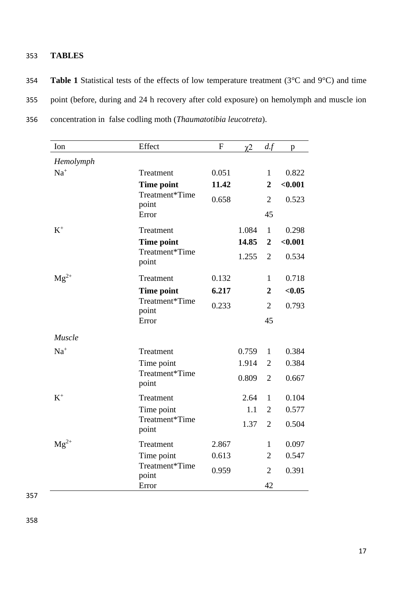### 353 **TABLES**

354 **Table 1** Statistical tests of the effects of low temperature treatment (3°C and 9°C) and time 355 point (before, during and 24 h recovery after cold exposure) on hemolymph and muscle ion 356 concentration in false codling moth (*Thaumatotibia leucotreta*).

| Ion       | Effect                  | ${\bf F}$ | $\chi$ <sup>2</sup> | df             | $\mathbf{p}$ |
|-----------|-------------------------|-----------|---------------------|----------------|--------------|
| Hemolymph |                         |           |                     |                |              |
| $Na+$     | Treatment               | 0.051     |                     | $\mathbf{1}$   | 0.822        |
|           | <b>Time point</b>       | 11.42     |                     | $\overline{2}$ | < 0.001      |
|           | Treatment*Time<br>point | 0.658     |                     | $\overline{2}$ | 0.523        |
|           | Error                   |           |                     | 45             |              |
| $K^+$     | Treatment               |           | 1.084               | $\mathbf{1}$   | 0.298        |
|           | <b>Time point</b>       |           | 14.85               | $\overline{2}$ | < 0.001      |
|           | Treatment*Time<br>point |           | 1.255               | $\overline{2}$ | 0.534        |
| $Mg^{2+}$ | Treatment               | 0.132     |                     | $\mathbf{1}$   | 0.718        |
|           | <b>Time point</b>       | 6.217     |                     | $\overline{2}$ | < 0.05       |
|           | Treatment*Time<br>point | 0.233     |                     | $\overline{2}$ | 0.793        |
|           | Error                   |           |                     | 45             |              |
| Muscle    |                         |           |                     |                |              |
| $Na+$     | Treatment               |           | 0.759               | $\mathbf{1}$   | 0.384        |
|           | Time point              |           | 1.914               | $\overline{2}$ | 0.384        |
|           | Treatment*Time<br>point |           | 0.809               | $\overline{2}$ | 0.667        |
| $\rm K^+$ | Treatment               |           | 2.64                | $\mathbf{1}$   | 0.104        |
|           | Time point              |           | 1.1                 | $\overline{2}$ | 0.577        |
|           | Treatment*Time<br>point |           | 1.37                | $\overline{2}$ | 0.504        |
| $Mg^{2+}$ | Treatment               | 2.867     |                     | 1              | 0.097        |
|           | Time point              | 0.613     |                     | $\overline{2}$ | 0.547        |
|           | Treatment*Time<br>point | 0.959     |                     | $\overline{2}$ | 0.391        |
|           | Error                   |           |                     | 42             |              |

357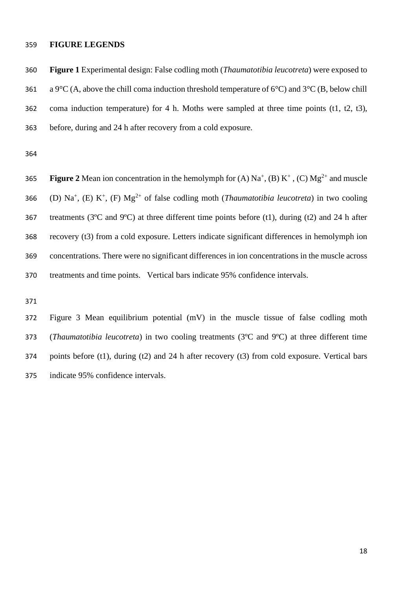#### **FIGURE LEGENDS**

 **Figure 1** Experimental design: False codling moth (*Thaumatotibia leucotreta*) were exposed to 361 a 9<sup>o</sup>C (A, above the chill coma induction threshold temperature of 6<sup>o</sup>C) and 3<sup>o</sup>C (B, below chill coma induction temperature) for 4 h. Moths were sampled at three time points (t1, t2, t3), before, during and 24 h after recovery from a cold exposure.

**Figure** 2 Mean ion concentration in the hemolymph for  $(A)$   $Na^+$ ,  $(B)$   $K^+$ ,  $(C)$   $Mg^{2+}$  and muscle 366 (D) Na<sup>+</sup>, (E) K<sup>+</sup>, (F) Mg<sup>2+</sup> of false codling moth (*Thaumatotibia leucotreta*) in two cooling 367 treatments ( $3^{\circ}$ C and  $9^{\circ}$ C) at three different time points before (t1), during (t2) and 24 h after recovery (t3) from a cold exposure. Letters indicate significant differences in hemolymph ion concentrations. There were no significant differences in ion concentrations in the muscle across treatments and time points. Vertical bars indicate 95% confidence intervals.

 Figure 3 Mean equilibrium potential (mV) in the muscle tissue of false codling moth (*Thaumatotibia leucotreta*) in two cooling treatments (3ºC and 9ºC) at three different time points before (t1), during (t2) and 24 h after recovery (t3) from cold exposure. Vertical bars indicate 95% confidence intervals.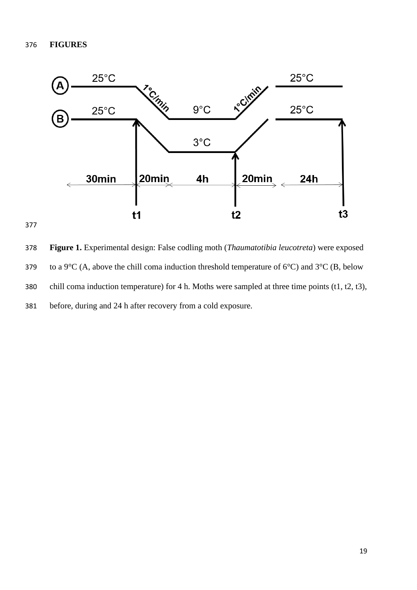

 **Figure 1.** Experimental design: False codling moth (*Thaumatotibia leucotreta*) were exposed 379 to a 9 $^{\circ}$ C (A, above the chill coma induction threshold temperature of 6 $^{\circ}$ C) and 3 $^{\circ}$ C (B, below chill coma induction temperature) for 4 h. Moths were sampled at three time points (t1, t2, t3), before, during and 24 h after recovery from a cold exposure.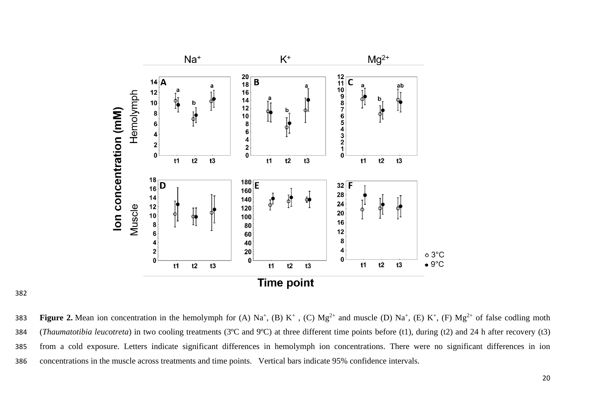

**Figure 2.** Mean ion concentration in the hemolymph for (A)  $Na^+$ , (B)  $K^+$ , (C)  $Mg^{2+}$  and muscle (D)  $Na^+$ , (E)  $K^+$ , (F)  $Mg^{2+}$  of false codling moth (*Thaumatotibia leucotreta*) in two cooling treatments (3ºC and 9ºC) at three different time points before (t1), during (t2) and 24 h after recovery (t3) from a cold exposure. Letters indicate significant differences in hemolymph ion concentrations. There were no significant differences in ion concentrations in the muscle across treatments and time points. Vertical bars indicate 95% confidence intervals.